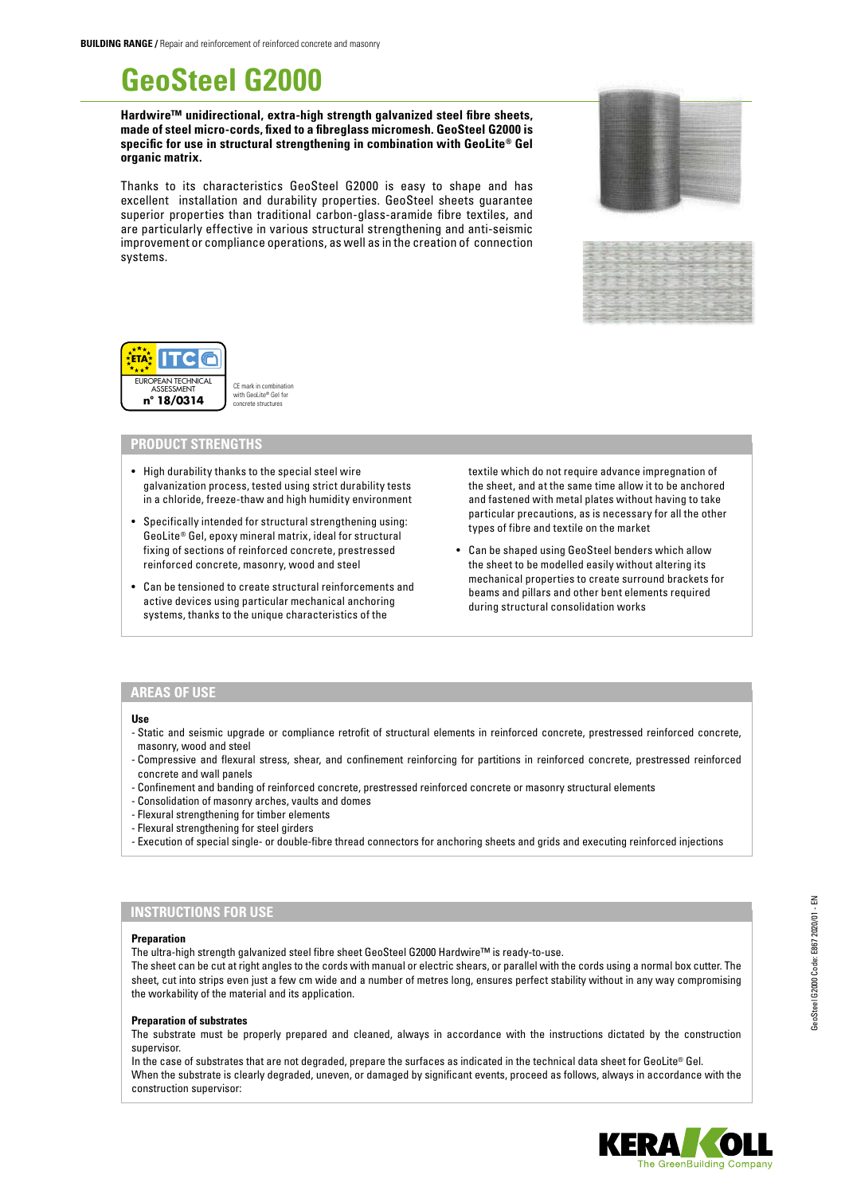# **GeoSteel G2000**

**Hardwire™ unidirectional, extra-high strength galvanized steel fibre sheets, made of steel micro-cords, fixed to a fibreglass micromesh. GeoSteel G2000 is specific for use in structural strengthening in combination with GeoLite® Gel organic matrix.**

Thanks to its characteristics GeoSteel G2000 is easy to shape and has excellent installation and durability properties. GeoSteel sheets guarantee superior properties than traditional carbon-glass-aramide fibre textiles, and are particularly effective in various structural strengthening and anti-seismic improvement or compliance operations, as well as in the creation of connection systems.







CE mark in combination with GeoLite® Gel for concrete structures

## **PRODUCT STRENGTHS**

- High durability thanks to the special steel wire galvanization process, tested using strict durability tests in a chloride, freeze-thaw and high humidity environment
- Specifically intended for structural strengthening using: GeoLite® Gel, epoxy mineral matrix, ideal for structural fixing of sections of reinforced concrete, prestressed reinforced concrete, masonry, wood and steel
- Can be tensioned to create structural reinforcements and active devices using particular mechanical anchoring systems, thanks to the unique characteristics of the

textile which do not require advance impregnation of the sheet, and at the same time allow it to be anchored and fastened with metal plates without having to take particular precautions, as is necessary for all the other types of fibre and textile on the market

• Can be shaped using GeoSteel benders which allow the sheet to be modelled easily without altering its mechanical properties to create surround brackets for beams and pillars and other bent elements required during structural consolidation works

## **AREAS OF USE**

**Use**

- Static and seismic upgrade or compliance retrofit of structural elements in reinforced concrete, prestressed reinforced concrete, masonry, wood and steel
- Compressive and flexural stress, shear, and confinement reinforcing for partitions in reinforced concrete, prestressed reinforced concrete and wall panels
- Confinement and banding of reinforced concrete, prestressed reinforced concrete or masonry structural elements
- Consolidation of masonry arches, vaults and domes
- Flexural strengthening for timber elements
- Flexural strengthening for steel girders
- Execution of special single- or double-fibre thread connectors for anchoring sheets and grids and executing reinforced injections

## **INSTRUCTIONS FOR USE**

### **Preparation**

The ultra-high strength galvanized steel fibre sheet GeoSteel G2000 Hardwire™ is ready-to-use.

The sheet can be cut at right angles to the cords with manual or electric shears, or parallel with the cords using a normal box cutter. The sheet, cut into strips even just a few cm wide and a number of metres long, ensures perfect stability without in any way compromising the workability of the material and its application.

#### **Preparation of substrates**

The substrate must be properly prepared and cleaned, always in accordance with the instructions dictated by the construction supervisor.

In the case of substrates that are not degraded, prepare the surfaces as indicated in the technical data sheet for GeoLite® Gel. When the substrate is clearly degraded, uneven, or damaged by significant events, proceed as follows, always in accordance with the construction supervisor:

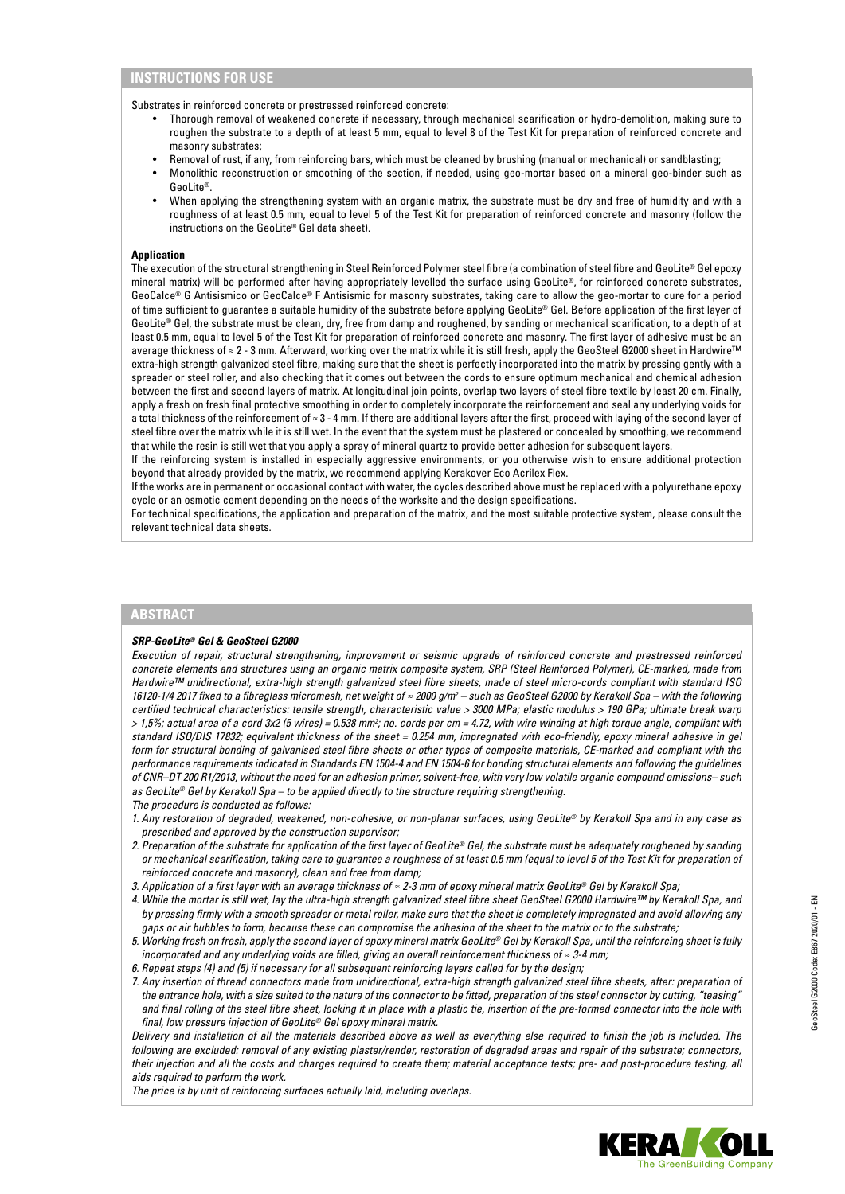Substrates in reinforced concrete or prestressed reinforced concrete:

- Thorough removal of weakened concrete if necessary, through mechanical scarification or hydro-demolition, making sure to roughen the substrate to a depth of at least 5 mm, equal to level 8 of the Test Kit for preparation of reinforced concrete and masonry substrates;
- Removal of rust, if any, from reinforcing bars, which must be cleaned by brushing (manual or mechanical) or sandblasting;
- Monolithic reconstruction or smoothing of the section, if needed, using geo-mortar based on a mineral geo-binder such as GeoLite®.
- When applying the strengthening system with an organic matrix, the substrate must be dry and free of humidity and with a roughness of at least 0.5 mm, equal to level 5 of the Test Kit for preparation of reinforced concrete and masonry (follow the instructions on the GeoLite® Gel data sheet).

## **Application**

The execution of the structural strengthening in Steel Reinforced Polymer steel fibre (a combination of steel fibre and GeoLite® Gel epoxy mineral matrix) will be performed after having appropriately levelled the surface using GeoLite®, for reinforced concrete substrates, GeoCalce® G Antisismico or GeoCalce® F Antisismic for masonry substrates, taking care to allow the geo-mortar to cure for a period of time sufficient to guarantee a suitable humidity of the substrate before applying GeoLite® Gel. Before application of the first layer of GeoLite® Gel, the substrate must be clean, dry, free from damp and roughened, by sanding or mechanical scarification, to a depth of at least 0.5 mm, equal to level 5 of the Test Kit for preparation of reinforced concrete and masonry. The first layer of adhesive must be an average thickness of ≈ 2 - 3 mm. Afterward, working over the matrix while it is still fresh, apply the GeoSteel G2000 sheet in Hardwire™ extra-high strength galvanized steel fibre, making sure that the sheet is perfectly incorporated into the matrix by pressing gently with a spreader or steel roller, and also checking that it comes out between the cords to ensure optimum mechanical and chemical adhesion between the first and second layers of matrix. At longitudinal join points, overlap two layers of steel fibre textile by least 20 cm. Finally, apply a fresh on fresh final protective smoothing in order to completely incorporate the reinforcement and seal any underlying voids for a total thickness of the reinforcement of ≈ 3 - 4 mm. If there are additional layers after the first, proceed with laying of the second layer of steel fibre over the matrix while it is still wet. In the event that the system must be plastered or concealed by smoothing, we recommend that while the resin is still wet that you apply a spray of mineral quartz to provide better adhesion for subsequent layers.

If the reinforcing system is installed in especially aggressive environments, or you otherwise wish to ensure additional protection beyond that already provided by the matrix, we recommend applying Kerakover Eco Acrilex Flex.

If the works are in permanent or occasional contact with water, the cycles described above must be replaced with a polyurethane epoxy cycle or an osmotic cement depending on the needs of the worksite and the design specifications.

For technical specifications, the application and preparation of the matrix, and the most suitable protective system, please consult the relevant technical data sheets.

## **ABSTRACT**

## *SRP-GeoLite® Gel & GeoSteel G2000*

*Execution of repair, structural strengthening, improvement or seismic upgrade of reinforced concrete and prestressed reinforced concrete elements and structures using an organic matrix composite system, SRP (Steel Reinforced Polymer), CE-marked, made from Hardwire™ unidirectional, extra-high strength galvanized steel fibre sheets, made of steel micro-cords compliant with standard ISO 16120-1/4 2017 fixed to a fibreglass micromesh, net weight of ≈ 2000 g/m<sup>2</sup> – such as GeoSteel G2000 by Kerakoll Spa – with the following certified technical characteristics: tensile strength, characteristic value > 3000 MPa; elastic modulus > 190 GPa; ultimate break warp > 1,5%; actual area of a cord 3x2 (5 wires) = 0.538 mm2 ; no. cords per cm = 4.72, with wire winding at high torque angle, compliant with standard ISO/DIS 17832; equivalent thickness of the sheet = 0.254 mm, impregnated with eco-friendly, epoxy mineral adhesive in gel form for structural bonding of galvanised steel fibre sheets or other types of composite materials, CE-marked and compliant with the performance requirements indicated in Standards EN 1504-4 and EN 1504-6 for bonding structural elements and following the guidelines of CNR–DT 200 R1/2013, without the need for an adhesion primer, solvent-free, with very low volatile organic compound emissions– such as GeoLite® Gel by Kerakoll Spa – to be applied directly to the structure requiring strengthening.*

*The procedure is conducted as follows:*

- *1. Any restoration of degraded, weakened, non-cohesive, or non-planar surfaces, using GeoLite® by Kerakoll Spa and in any case as prescribed and approved by the construction supervisor;*
- *2. Preparation of the substrate for application of the first layer of GeoLite® Gel, the substrate must be adequately roughened by sanding or mechanical scarification, taking care to guarantee a roughness of at least 0.5 mm (equal to level 5 of the Test Kit for preparation of reinforced concrete and masonry), clean and free from damp;*
- *3. Application of a first layer with an average thickness of ≈ 2-3 mm of epoxy mineral matrix GeoLite® Gel by Kerakoll Spa;*
- *4. While the mortar is still wet, lay the ultra-high strength galvanized steel fibre sheet GeoSteel G2000 Hardwire™ by Kerakoll Spa, and by pressing firmly with a smooth spreader or metal roller, make sure that the sheet is completely impregnated and avoid allowing any gaps or air bubbles to form, because these can compromise the adhesion of the sheet to the matrix or to the substrate;*
- *5. Working fresh on fresh, apply the second layer of epoxy mineral matrix GeoLite® Gel by Kerakoll Spa, until the reinforcing sheet is fully incorporated and any underlying voids are filled, giving an overall reinforcement thickness of ≈ 3-4 mm;*
- *6. Repeat steps (4) and (5) if necessary for all subsequent reinforcing layers called for by the design;*
- *7. Any insertion of thread connectors made from unidirectional, extra-high strength galvanized steel fibre sheets, after: preparation of the entrance hole, with a size suited to the nature of the connector to be fitted, preparation of the steel connector by cutting, "teasing" and final rolling of the steel fibre sheet, locking it in place with a plastic tie, insertion of the pre-formed connector into the hole with final, low pressure injection of GeoLite® Gel epoxy mineral matrix.*

*Delivery and installation of all the materials described above as well as everything else required to finish the job is included. The following are excluded: removal of any existing plaster/render, restoration of degraded areas and repair of the substrate; connectors, their injection and all the costs and charges required to create them; material acceptance tests; pre- and post-procedure testing, all aids required to perform the work.* 

*The price is by unit of reinforcing surfaces actually laid, including overlaps.*

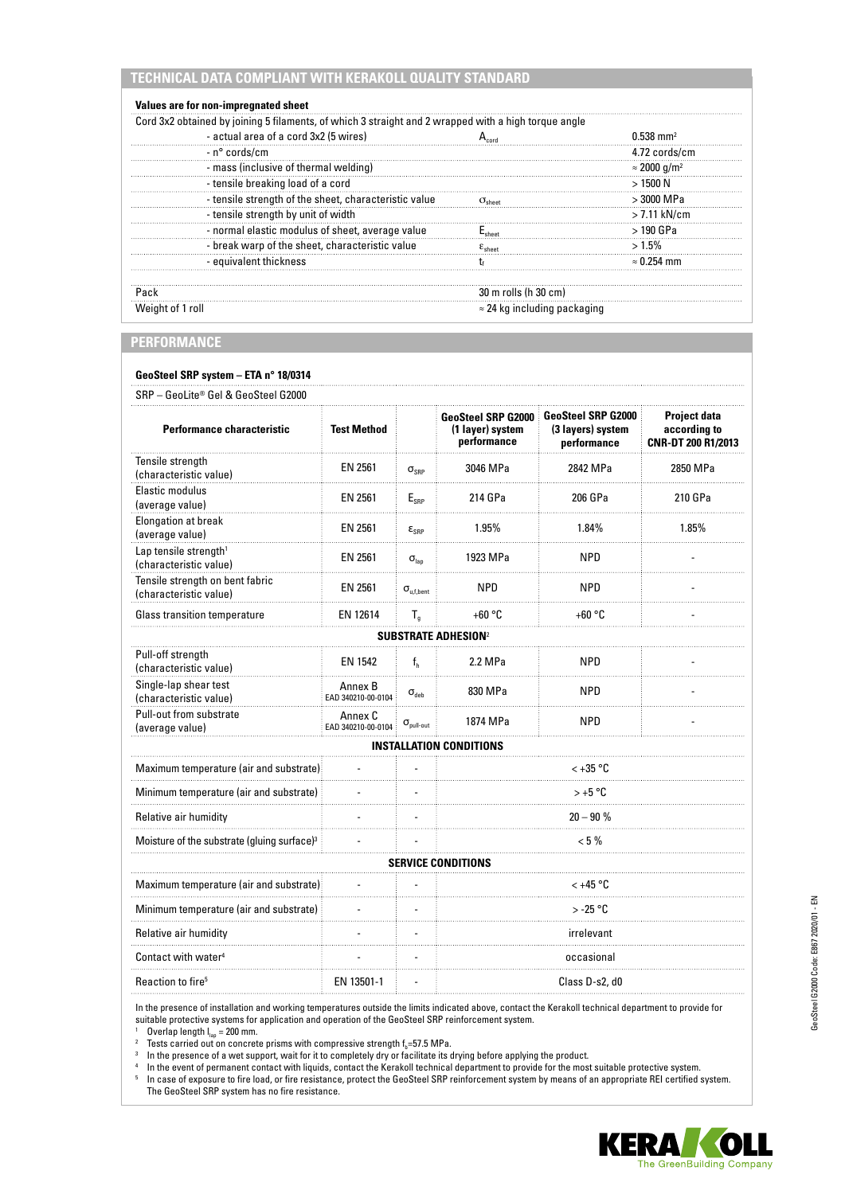# **TECHNICAL DATA COMPLIANT WITH KERAKOLL QUALITY STANDARD**

| - actual area of a cord 3x2 (5 wires)                 |                                     | $0.538$ mm <sup>2</sup>         |
|-------------------------------------------------------|-------------------------------------|---------------------------------|
| - n° cords/cm                                         |                                     | 4.72 cords/cm                   |
| - mass (inclusive of thermal welding)                 |                                     | $\approx$ 2000 g/m <sup>2</sup> |
| - tensile breaking load of a cord                     |                                     | > 1500 N                        |
| - tensile strength of the sheet, characteristic value |                                     | $>$ 3000 MPa                    |
| - tensile strength by unit of width                   |                                     | $>$ 7.11 kN/cm                  |
| - normal elastic modulus of sheet, average value      |                                     | $>190$ GPa                      |
| - break warp of the sheet, characteristic value       |                                     | >1.5%                           |
| - equivalent thickness                                |                                     | $\approx$ 0.254 mm              |
| Pack                                                  | 30 m rolls (h 30 cm)                |                                 |
| Weight of 1 roll                                      | $\approx$ 24 kg including packaging |                                 |

# **PERFORMANCE**

# **GeoSteel SRP system – ETA n° 18/0314**

| SRP - GeoLite® Gel & GeoSteel G2000                         |                               |                            |                                                              |                                                               |                                                           |  |  |  |
|-------------------------------------------------------------|-------------------------------|----------------------------|--------------------------------------------------------------|---------------------------------------------------------------|-----------------------------------------------------------|--|--|--|
| <b>Performance characteristic</b>                           | <b>Test Method</b>            |                            | <b>GeoSteel SRP G2000</b><br>(1 layer) system<br>performance | <b>GeoSteel SRP G2000</b><br>(3 layers) system<br>performance | <b>Project data</b><br>according to<br>CNR-DT 200 R1/2013 |  |  |  |
| Tensile strength<br>(characteristic value)                  | EN 2561                       | $\sigma_{\text{SRP}}$      | 3046 MPa                                                     | 2842 MPa                                                      | 2850 MPa                                                  |  |  |  |
| Elastic modulus<br>(average value)                          | EN 2561                       | $\mathsf{E}_{\text{SRP}}$  | 214 GPa                                                      | 206 GPa                                                       | 210 GPa                                                   |  |  |  |
| <b>Elongation at break</b><br>(average value)               | EN 2561                       | $\epsilon_{\text{SRP}}$    | 1.95%                                                        | 1.84%                                                         | 1.85%                                                     |  |  |  |
| Lap tensile strength <sup>1</sup><br>(characteristic value) | EN 2561                       | $\sigma_{\text{lan}}$      | 1923 MPa                                                     | <b>NPD</b>                                                    |                                                           |  |  |  |
| Tensile strength on bent fabric<br>(characteristic value)   | EN 2561                       | $\sigma_{\rm u,f, bent}$   | <b>NPD</b>                                                   | <b>NPD</b>                                                    |                                                           |  |  |  |
| <b>Glass transition temperature</b>                         | EN 12614                      | $T_g$                      | $+60 °C$                                                     | $+60 °C$                                                      |                                                           |  |  |  |
| <b>SUBSTRATE ADHESION<sup>2</sup></b>                       |                               |                            |                                                              |                                                               |                                                           |  |  |  |
| Pull-off strength<br>(characteristic value)                 | <b>EN 1542</b>                | f <sub>h</sub>             | 2.2 MPa                                                      | <b>NPD</b>                                                    |                                                           |  |  |  |
| Single-lap shear test<br>(characteristic value)             | Annex B<br>EAD 340210-00-0104 | $\sigma_{\text{deb}}$      | 830 MPa                                                      | <b>NPD</b>                                                    |                                                           |  |  |  |
| Pull-out from substrate<br>(average value)                  | Annex C<br>EAD 340210-00-0104 | $\sigma_{\text{pull-out}}$ | 1874 MPa                                                     | <b>NPD</b>                                                    |                                                           |  |  |  |
| INSTALLATION CONDITIONS                                     |                               |                            |                                                              |                                                               |                                                           |  |  |  |
| Maximum temperature (air and substrate)                     |                               |                            | $< +35$ °C                                                   |                                                               |                                                           |  |  |  |
| Minimum temperature (air and substrate)                     |                               |                            | $> +5 °C$                                                    |                                                               |                                                           |  |  |  |
| Relative air humidity                                       |                               |                            | $20 - 90 %$                                                  |                                                               |                                                           |  |  |  |
| Moisture of the substrate (gluing surface) <sup>3</sup>     |                               |                            | $< 5\%$                                                      |                                                               |                                                           |  |  |  |
|                                                             |                               |                            | <b>SERVICE CONDITIONS</b>                                    |                                                               |                                                           |  |  |  |
| Maximum temperature (air and substrate)                     |                               |                            | $< +45$ °C                                                   |                                                               |                                                           |  |  |  |
| Minimum temperature (air and substrate)                     |                               |                            | $>$ -25 °C                                                   |                                                               |                                                           |  |  |  |
| Relative air humidity                                       |                               |                            | irrelevant                                                   |                                                               |                                                           |  |  |  |
| Contact with water <sup>4</sup>                             |                               |                            | occasional                                                   |                                                               |                                                           |  |  |  |
| Reaction to fire <sup>5</sup>                               | EN 13501-1                    |                            | Class D-s2, d0                                               |                                                               |                                                           |  |  |  |
|                                                             |                               |                            |                                                              |                                                               |                                                           |  |  |  |

In the presence of installation and working temperatures outside the limits indicated above, contact the Kerakoll technical department to provide for suitable protective systems for application and operation of the GeoSteel SRP reinforcement system.

<sup>1</sup> Overlap length  $I_{\text{lap}} = 200$  mm.

<sup>2</sup> Tests carried out on concrete prisms with compressive strength f<sub>i</sub>=57.5 MPa.<br><sup>3</sup> In the presence of a wet support, wait for it to completely dry or facilitate its drying before applying the product.

<sup>4</sup> In the event of permanent contact with liquids, contact the Kerakoll technical department to provide for the most suitable protective system.

<sup>5</sup> In case of exposure to fire load, or fire resistance, protect the GeoSteel SRP reinforcement system by means of an appropriate REI certified system. The GeoSteel SRP system has no fire resistance.